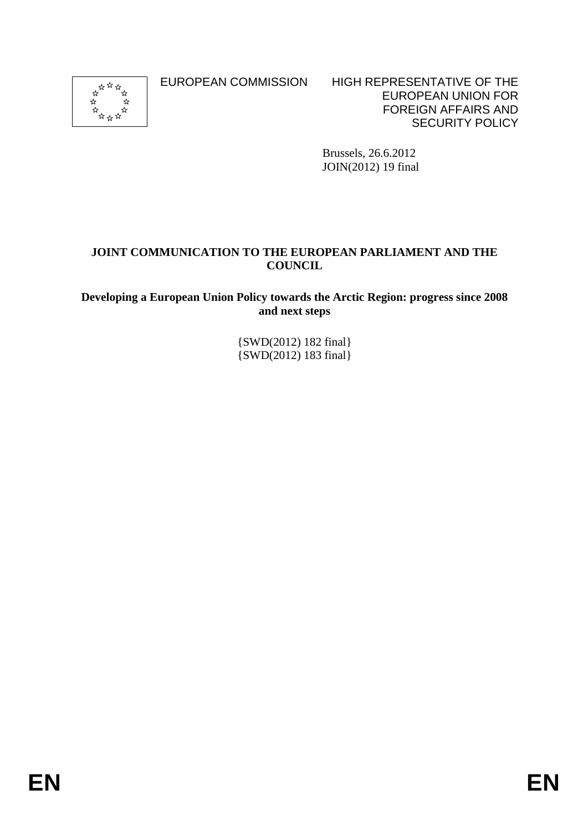

Brussels, 26.6.2012 JOIN(2012) 19 final

# **JOINT COMMUNICATION TO THE EUROPEAN PARLIAMENT AND THE COUNCIL**

**Developing a European Union Policy towards the Arctic Region: progress since 2008 and next steps** 

> {SWD(2012) 182 final} {SWD(2012) 183 final}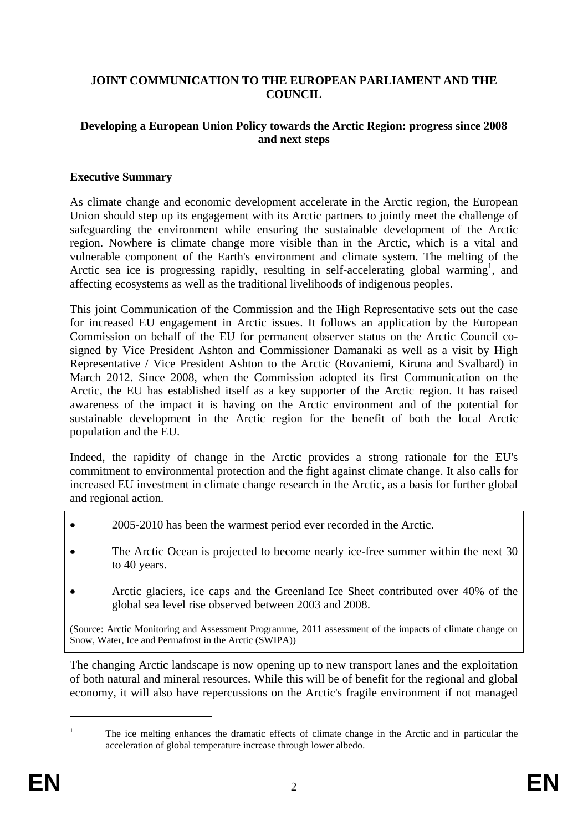### **JOINT COMMUNICATION TO THE EUROPEAN PARLIAMENT AND THE COUNCIL**

#### **Developing a European Union Policy towards the Arctic Region: progress since 2008 and next steps**

#### **Executive Summary**

As climate change and economic development accelerate in the Arctic region, the European Union should step up its engagement with its Arctic partners to jointly meet the challenge of safeguarding the environment while ensuring the sustainable development of the Arctic region. Nowhere is climate change more visible than in the Arctic, which is a vital and vulnerable component of the Earth's environment and climate system. The melting of the Arctic sea ice is progressing rapidly, resulting in self-accelerating global warming<sup>1</sup>, and affecting ecosystems as well as the traditional livelihoods of indigenous peoples.

This joint Communication of the Commission and the High Representative sets out the case for increased EU engagement in Arctic issues. It follows an application by the European Commission on behalf of the EU for permanent observer status on the Arctic Council cosigned by Vice President Ashton and Commissioner Damanaki as well as a visit by High Representative / Vice President Ashton to the Arctic (Rovaniemi, Kiruna and Svalbard) in March 2012. Since 2008, when the Commission adopted its first Communication on the Arctic, the EU has established itself as a key supporter of the Arctic region. It has raised awareness of the impact it is having on the Arctic environment and of the potential for sustainable development in the Arctic region for the benefit of both the local Arctic population and the EU.

Indeed, the rapidity of change in the Arctic provides a strong rationale for the EU's commitment to environmental protection and the fight against climate change. It also calls for increased EU investment in climate change research in the Arctic, as a basis for further global and regional action.

- 2005-2010 has been the warmest period ever recorded in the Arctic.
- The Arctic Ocean is projected to become nearly ice-free summer within the next 30 to 40 years.
- Arctic glaciers, ice caps and the Greenland Ice Sheet contributed over 40% of the global sea level rise observed between 2003 and 2008.

(Source: Arctic Monitoring and Assessment Programme, 2011 assessment of the impacts of climate change on Snow, Water, Ice and Permafrost in the Arctic (SWIPA))

The changing Arctic landscape is now opening up to new transport lanes and the exploitation of both natural and mineral resources. While this will be of benefit for the regional and global economy, it will also have repercussions on the Arctic's fragile environment if not managed

<u>.</u> 1

The ice melting enhances the dramatic effects of climate change in the Arctic and in particular the acceleration of global temperature increase through lower albedo.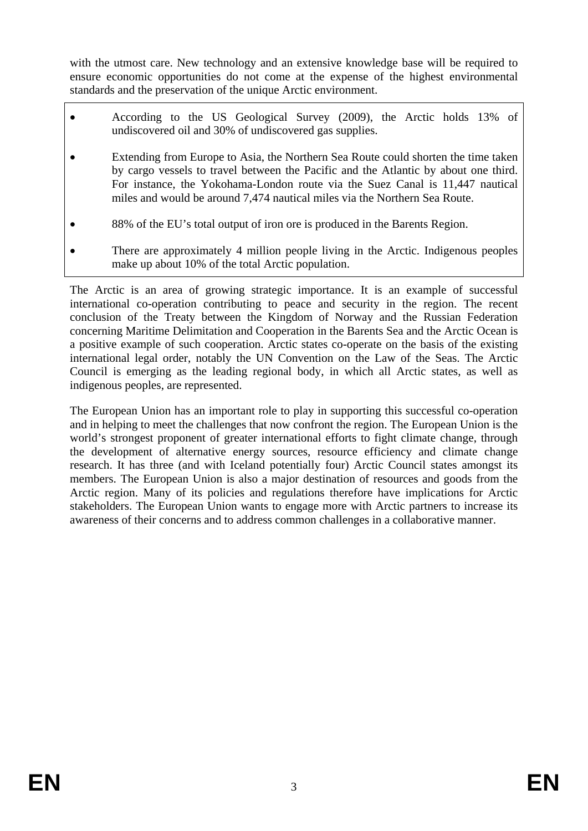with the utmost care. New technology and an extensive knowledge base will be required to ensure economic opportunities do not come at the expense of the highest environmental standards and the preservation of the unique Arctic environment.

- According to the US Geological Survey (2009), the Arctic holds 13% of undiscovered oil and 30% of undiscovered gas supplies.
- Extending from Europe to Asia, the Northern Sea Route could shorten the time taken by cargo vessels to travel between the Pacific and the Atlantic by about one third. For instance, the Yokohama-London route via the Suez Canal is 11,447 nautical miles and would be around 7,474 nautical miles via the Northern Sea Route.
- 88% of the EU's total output of iron ore is produced in the Barents Region.
- There are approximately 4 million people living in the Arctic. Indigenous peoples make up about 10% of the total Arctic population.

The Arctic is an area of growing strategic importance. It is an example of successful international co-operation contributing to peace and security in the region. The recent conclusion of the Treaty between the Kingdom of Norway and the Russian Federation concerning Maritime Delimitation and Cooperation in the Barents Sea and the Arctic Ocean is a positive example of such cooperation. Arctic states co-operate on the basis of the existing international legal order, notably the UN Convention on the Law of the Seas. The Arctic Council is emerging as the leading regional body, in which all Arctic states, as well as indigenous peoples, are represented.

The European Union has an important role to play in supporting this successful co-operation and in helping to meet the challenges that now confront the region. The European Union is the world's strongest proponent of greater international efforts to fight climate change, through the development of alternative energy sources, resource efficiency and climate change research. It has three (and with Iceland potentially four) Arctic Council states amongst its members. The European Union is also a major destination of resources and goods from the Arctic region. Many of its policies and regulations therefore have implications for Arctic stakeholders. The European Union wants to engage more with Arctic partners to increase its awareness of their concerns and to address common challenges in a collaborative manner.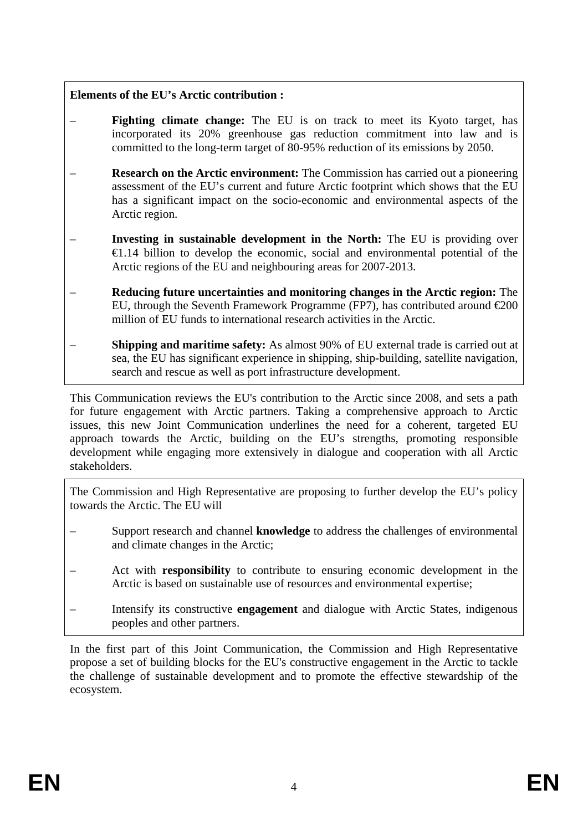# **Elements of the EU's Arctic contribution :**

- **Fighting climate change:** The EU is on track to meet its Kyoto target, has incorporated its 20% greenhouse gas reduction commitment into law and is committed to the long-term target of 80-95% reduction of its emissions by 2050.
- **Research on the Arctic environment:** The Commission has carried out a pioneering assessment of the EU's current and future Arctic footprint which shows that the EU has a significant impact on the socio-economic and environmental aspects of the Arctic region.
- **Investing in sustainable development in the North:** The EU is providing over €1.14 billion to develop the economic, social and environmental potential of the Arctic regions of the EU and neighbouring areas for 2007-2013.
- **Reducing future uncertainties and monitoring changes in the Arctic region:** The EU, through the Seventh Framework Programme (FP7), has contributed around  $\epsilon 200$ million of EU funds to international research activities in the Arctic.
- **Shipping and maritime safety:** As almost 90% of EU external trade is carried out at sea, the EU has significant experience in shipping, ship-building, satellite navigation, search and rescue as well as port infrastructure development.

This Communication reviews the EU's contribution to the Arctic since 2008, and sets a path for future engagement with Arctic partners. Taking a comprehensive approach to Arctic issues, this new Joint Communication underlines the need for a coherent, targeted EU approach towards the Arctic, building on the EU's strengths, promoting responsible development while engaging more extensively in dialogue and cooperation with all Arctic stakeholders.

The Commission and High Representative are proposing to further develop the EU's policy towards the Arctic. The EU will

- Support research and channel **knowledge** to address the challenges of environmental and climate changes in the Arctic;
- Act with **responsibility** to contribute to ensuring economic development in the Arctic is based on sustainable use of resources and environmental expertise;
- Intensify its constructive **engagement** and dialogue with Arctic States, indigenous peoples and other partners.

In the first part of this Joint Communication, the Commission and High Representative propose a set of building blocks for the EU's constructive engagement in the Arctic to tackle the challenge of sustainable development and to promote the effective stewardship of the ecosystem.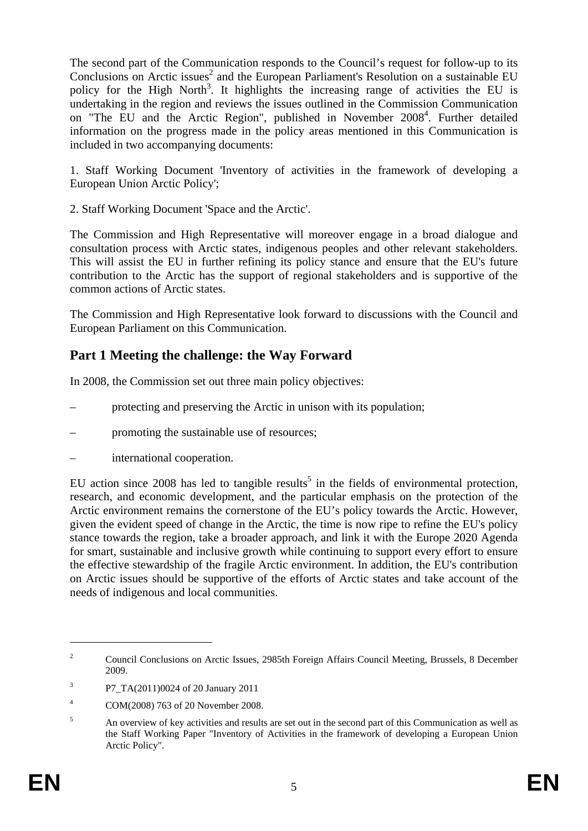The second part of the Communication responds to the Council's request for follow-up to its Conclusions on Arctic issues<sup>2</sup> and the European Parliament's Resolution on a sustainable EU policy for the High North<sup>3</sup>. It highlights the increasing range of activities the EU is undertaking in the region and reviews the issues outlined in the Commission Communication on "The EU and the Arctic Region", published in November 2008<sup>4</sup>. Further detailed information on the progress made in the policy areas mentioned in this Communication is included in two accompanying documents:

1. Staff Working Document 'Inventory of activities in the framework of developing a European Union Arctic Policy';

2. Staff Working Document 'Space and the Arctic'.

The Commission and High Representative will moreover engage in a broad dialogue and consultation process with Arctic states, indigenous peoples and other relevant stakeholders. This will assist the EU in further refining its policy stance and ensure that the EU's future contribution to the Arctic has the support of regional stakeholders and is supportive of the common actions of Arctic states.

The Commission and High Representative look forward to discussions with the Council and European Parliament on this Communication.

# **Part 1 Meeting the challenge: the Way Forward**

In 2008, the Commission set out three main policy objectives:

- protecting and preserving the Arctic in unison with its population;
- promoting the sustainable use of resources;
- international cooperation.

EU action since 2008 has led to tangible results<sup>5</sup> in the fields of environmental protection, research, and economic development, and the particular emphasis on the protection of the Arctic environment remains the cornerstone of the EU's policy towards the Arctic. However, given the evident speed of change in the Arctic, the time is now ripe to refine the EU's policy stance towards the region, take a broader approach, and link it with the Europe 2020 Agenda for smart, sustainable and inclusive growth while continuing to support every effort to ensure the effective stewardship of the fragile Arctic environment. In addition, the EU's contribution on Arctic issues should be supportive of the efforts of Arctic states and take account of the needs of indigenous and local communities.

<sup>2</sup> Council Conclusions on Arctic Issues, 2985th Foreign Affairs Council Meeting, Brussels, 8 December 2009.

<sup>3</sup> P7\_TA(2011)0024 of 20 January 2011

<sup>4</sup> COM(2008) 763 of 20 November 2008.

<sup>5</sup> An overview of key activities and results are set out in the second part of this Communication as well as the Staff Working Paper "Inventory of Activities in the framework of developing a European Union Arctic Policy".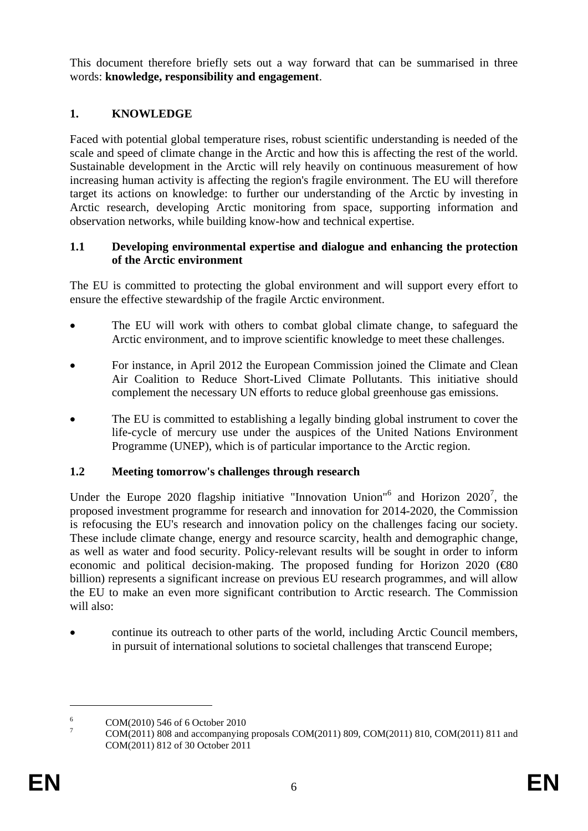This document therefore briefly sets out a way forward that can be summarised in three words: **knowledge, responsibility and engagement**.

# **1. KNOWLEDGE**

Faced with potential global temperature rises, robust scientific understanding is needed of the scale and speed of climate change in the Arctic and how this is affecting the rest of the world. Sustainable development in the Arctic will rely heavily on continuous measurement of how increasing human activity is affecting the region's fragile environment. The EU will therefore target its actions on knowledge: to further our understanding of the Arctic by investing in Arctic research, developing Arctic monitoring from space, supporting information and observation networks, while building know-how and technical expertise.

### **1.1 Developing environmental expertise and dialogue and enhancing the protection of the Arctic environment**

The EU is committed to protecting the global environment and will support every effort to ensure the effective stewardship of the fragile Arctic environment.

- The EU will work with others to combat global climate change, to safeguard the Arctic environment, and to improve scientific knowledge to meet these challenges.
- For instance, in April 2012 the European Commission joined the Climate and Clean Air Coalition to Reduce Short-Lived Climate Pollutants. This initiative should complement the necessary UN efforts to reduce global greenhouse gas emissions.
- The EU is committed to establishing a legally binding global instrument to cover the life-cycle of mercury use under the auspices of the United Nations Environment Programme (UNEP), which is of particular importance to the Arctic region.

# **1.2 Meeting tomorrow's challenges through research**

Under the Europe 2020 flagship initiative "Innovation Union"<sup>6</sup> and Horizon 2020<sup>7</sup>, the proposed investment programme for research and innovation for 2014-2020, the Commission is refocusing the EU's research and innovation policy on the challenges facing our society. These include climate change, energy and resource scarcity, health and demographic change, as well as water and food security. Policy-relevant results will be sought in order to inform economic and political decision-making. The proposed funding for Horizon 2020 ( $\bigcirc$ 80 billion) represents a significant increase on previous EU research programmes, and will allow the EU to make an even more significant contribution to Arctic research. The Commission will also:

• continue its outreach to other parts of the world, including Arctic Council members, in pursuit of international solutions to societal challenges that transcend Europe;

<sup>6</sup> COM(2010) 546 of 6 October 2010

<sup>7</sup> COM(2011) 808 and accompanying proposals COM(2011) 809, COM(2011) 810, COM(2011) 811 and COM(2011) 812 of 30 October 2011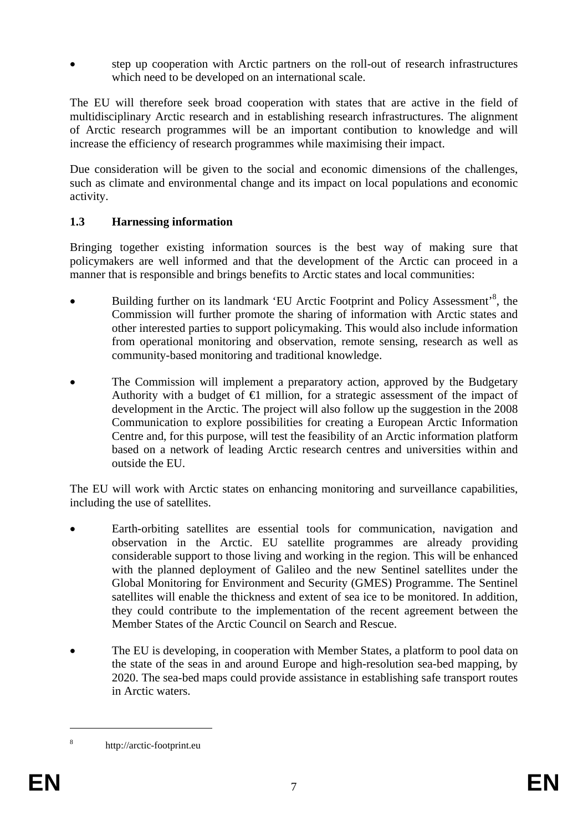step up cooperation with Arctic partners on the roll-out of research infrastructures which need to be developed on an international scale.

The EU will therefore seek broad cooperation with states that are active in the field of multidisciplinary Arctic research and in establishing research infrastructures. The alignment of Arctic research programmes will be an important contibution to knowledge and will increase the efficiency of research programmes while maximising their impact.

Due consideration will be given to the social and economic dimensions of the challenges, such as climate and environmental change and its impact on local populations and economic activity.

# **1.3 Harnessing information**

Bringing together existing information sources is the best way of making sure that policymakers are well informed and that the development of the Arctic can proceed in a manner that is responsible and brings benefits to Arctic states and local communities:

- Building further on its landmark 'EU Arctic Footprint and Policy Assessment'<sup>8</sup>, the Commission will further promote the sharing of information with Arctic states and other interested parties to support policymaking. This would also include information from operational monitoring and observation, remote sensing, research as well as community-based monitoring and traditional knowledge.
- The Commission will implement a preparatory action, approved by the Budgetary Authority with a budget of  $\bigoplus$  million, for a strategic assessment of the impact of development in the Arctic. The project will also follow up the suggestion in the 2008 Communication to explore possibilities for creating a European Arctic Information Centre and, for this purpose, will test the feasibility of an Arctic information platform based on a network of leading Arctic research centres and universities within and outside the EU.

The EU will work with Arctic states on enhancing monitoring and surveillance capabilities, including the use of satellites.

- Earth-orbiting satellites are essential tools for communication, navigation and observation in the Arctic. EU satellite programmes are already providing considerable support to those living and working in the region. This will be enhanced with the planned deployment of Galileo and the new Sentinel satellites under the Global Monitoring for Environment and Security (GMES) Programme. The Sentinel satellites will enable the thickness and extent of sea ice to be monitored. In addition, they could contribute to the implementation of the recent agreement between the Member States of the Arctic Council on Search and Rescue.
- The EU is developing, in cooperation with Member States, a platform to pool data on the state of the seas in and around Europe and high-resolution sea-bed mapping, by 2020. The sea-bed maps could provide assistance in establishing safe transport routes in Arctic waters.

<sup>8</sup> http://arctic-footprint.eu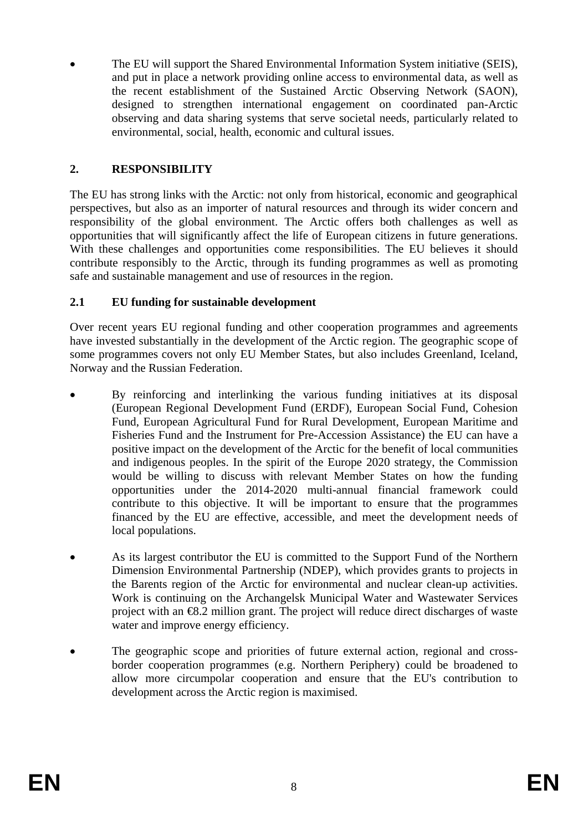• The EU will support the Shared Environmental Information System initiative (SEIS), and put in place a network providing online access to environmental data, as well as the recent establishment of the Sustained Arctic Observing Network (SAON), designed to strengthen international engagement on coordinated pan-Arctic observing and data sharing systems that serve societal needs, particularly related to environmental, social, health, economic and cultural issues.

# **2. RESPONSIBILITY**

The EU has strong links with the Arctic: not only from historical, economic and geographical perspectives, but also as an importer of natural resources and through its wider concern and responsibility of the global environment. The Arctic offers both challenges as well as opportunities that will significantly affect the life of European citizens in future generations. With these challenges and opportunities come responsibilities. The EU believes it should contribute responsibly to the Arctic, through its funding programmes as well as promoting safe and sustainable management and use of resources in the region.

# **2.1 EU funding for sustainable development**

Over recent years EU regional funding and other cooperation programmes and agreements have invested substantially in the development of the Arctic region. The geographic scope of some programmes covers not only EU Member States, but also includes Greenland, Iceland, Norway and the Russian Federation.

- By reinforcing and interlinking the various funding initiatives at its disposal (European Regional Development Fund (ERDF), European Social Fund, Cohesion Fund, European Agricultural Fund for Rural Development, European Maritime and Fisheries Fund and the Instrument for Pre-Accession Assistance) the EU can have a positive impact on the development of the Arctic for the benefit of local communities and indigenous peoples. In the spirit of the Europe 2020 strategy, the Commission would be willing to discuss with relevant Member States on how the funding opportunities under the 2014-2020 multi-annual financial framework could contribute to this objective. It will be important to ensure that the programmes financed by the EU are effective, accessible, and meet the development needs of local populations.
- As its largest contributor the EU is committed to the Support Fund of the Northern Dimension Environmental Partnership (NDEP), which provides grants to projects in the Barents region of the Arctic for environmental and nuclear clean-up activities. Work is continuing on the Archangelsk Municipal Water and Wastewater Services project with an  $\epsilon 8.2$  million grant. The project will reduce direct discharges of waste water and improve energy efficiency.
- The geographic scope and priorities of future external action, regional and crossborder cooperation programmes (e.g. Northern Periphery) could be broadened to allow more circumpolar cooperation and ensure that the EU's contribution to development across the Arctic region is maximised.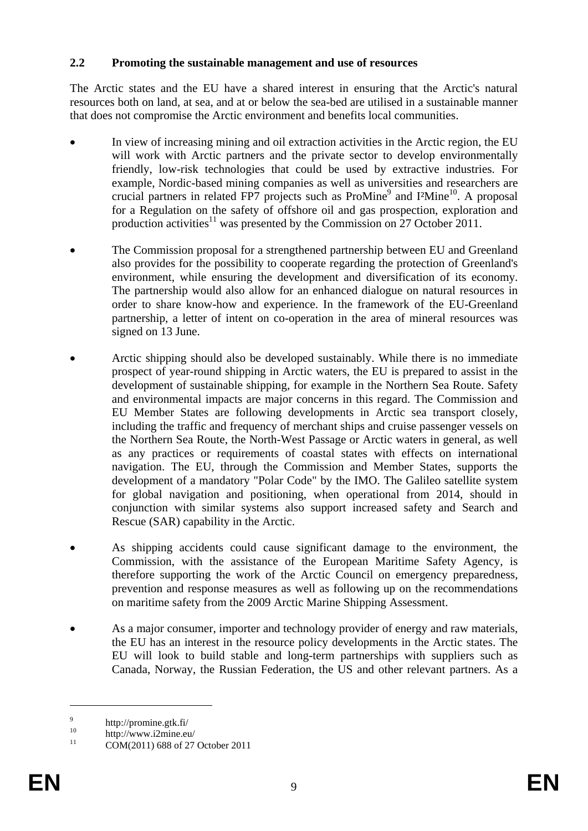#### **2.2 Promoting the sustainable management and use of resources**

The Arctic states and the EU have a shared interest in ensuring that the Arctic's natural resources both on land, at sea, and at or below the sea-bed are utilised in a sustainable manner that does not compromise the Arctic environment and benefits local communities.

- In view of increasing mining and oil extraction activities in the Arctic region, the EU will work with Arctic partners and the private sector to develop environmentally friendly, low-risk technologies that could be used by extractive industries. For example, Nordic-based mining companies as well as universities and researchers are crucial partners in related FP7 projects such as ProMine<sup>9</sup> and I<sup>2</sup>Mine<sup>10</sup>. A proposal for a Regulation on the safety of offshore oil and gas prospection, exploration and production activities<sup>11</sup> was presented by the Commission on  $27$  October 2011.
- The Commission proposal for a strengthened partnership between EU and Greenland also provides for the possibility to cooperate regarding the protection of Greenland's environment, while ensuring the development and diversification of its economy. The partnership would also allow for an enhanced dialogue on natural resources in order to share know-how and experience. In the framework of the EU-Greenland partnership, a letter of intent on co-operation in the area of mineral resources was signed on 13 June.
- Arctic shipping should also be developed sustainably. While there is no immediate prospect of year-round shipping in Arctic waters, the EU is prepared to assist in the development of sustainable shipping, for example in the Northern Sea Route. Safety and environmental impacts are major concerns in this regard. The Commission and EU Member States are following developments in Arctic sea transport closely, including the traffic and frequency of merchant ships and cruise passenger vessels on the Northern Sea Route, the North-West Passage or Arctic waters in general, as well as any practices or requirements of coastal states with effects on international navigation. The EU, through the Commission and Member States, supports the development of a mandatory "Polar Code" by the IMO. The Galileo satellite system for global navigation and positioning, when operational from 2014, should in conjunction with similar systems also support increased safety and Search and Rescue (SAR) capability in the Arctic.
- As shipping accidents could cause significant damage to the environment, the Commission, with the assistance of the European Maritime Safety Agency, is therefore supporting the work of the Arctic Council on emergency preparedness, prevention and response measures as well as following up on the recommendations on maritime safety from the 2009 Arctic Marine Shipping Assessment.
- As a major consumer, importer and technology provider of energy and raw materials, the EU has an interest in the resource policy developments in the Arctic states. The EU will look to build stable and long-term partnerships with suppliers such as Canada, Norway, the Russian Federation, the US and other relevant partners. As a

<sup>9</sup>  $\frac{9}{10}$  http://promine.gtk.fi/

 $\frac{10}{11}$  http://www.i2mine.eu/

COM(2011) 688 of 27 October 2011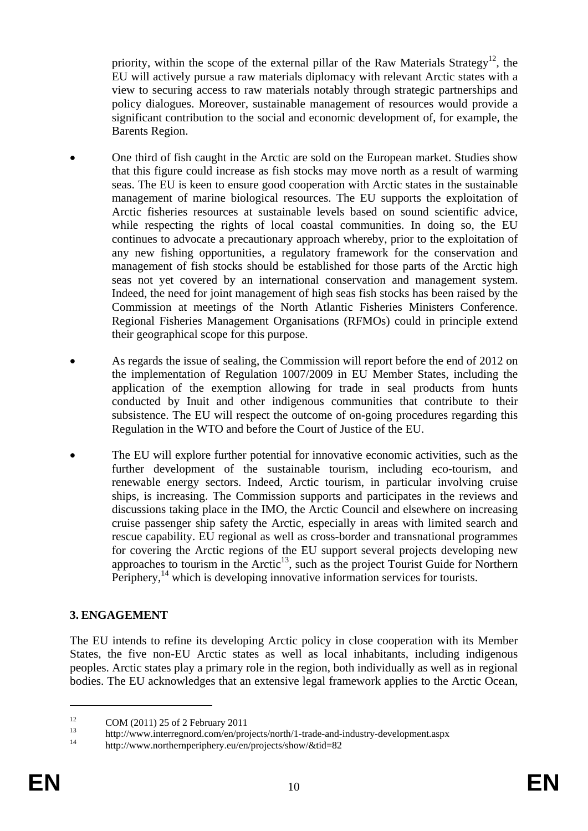priority, within the scope of the external pillar of the Raw Materials Strategy<sup>12</sup>, the EU will actively pursue a raw materials diplomacy with relevant Arctic states with a view to securing access to raw materials notably through strategic partnerships and policy dialogues. Moreover, sustainable management of resources would provide a significant contribution to the social and economic development of, for example, the Barents Region.

- One third of fish caught in the Arctic are sold on the European market. Studies show that this figure could increase as fish stocks may move north as a result of warming seas. The EU is keen to ensure good cooperation with Arctic states in the sustainable management of marine biological resources. The EU supports the exploitation of Arctic fisheries resources at sustainable levels based on sound scientific advice, while respecting the rights of local coastal communities. In doing so, the EU continues to advocate a precautionary approach whereby, prior to the exploitation of any new fishing opportunities, a regulatory framework for the conservation and management of fish stocks should be established for those parts of the Arctic high seas not yet covered by an international conservation and management system. Indeed, the need for joint management of high seas fish stocks has been raised by the Commission at meetings of the North Atlantic Fisheries Ministers Conference. Regional Fisheries Management Organisations (RFMOs) could in principle extend their geographical scope for this purpose.
- As regards the issue of sealing, the Commission will report before the end of 2012 on the implementation of Regulation 1007/2009 in EU Member States, including the application of the exemption allowing for trade in seal products from hunts conducted by Inuit and other indigenous communities that contribute to their subsistence. The EU will respect the outcome of on-going procedures regarding this Regulation in the WTO and before the Court of Justice of the EU.
- The EU will explore further potential for innovative economic activities, such as the further development of the sustainable tourism, including eco-tourism, and renewable energy sectors. Indeed, Arctic tourism, in particular involving cruise ships, is increasing. The Commission supports and participates in the reviews and discussions taking place in the IMO, the Arctic Council and elsewhere on increasing cruise passenger ship safety the Arctic, especially in areas with limited search and rescue capability. EU regional as well as cross-border and transnational programmes for covering the Arctic regions of the EU support several projects developing new approaches to tourism in the Arctic<sup>13</sup>, such as the project Tourist Guide for Northern Periphery,  $14$  which is developing innovative information services for tourists.

## **3. ENGAGEMENT**

The EU intends to refine its developing Arctic policy in close cooperation with its Member States, the five non-EU Arctic states as well as local inhabitants, including indigenous peoples. Arctic states play a primary role in the region, both individually as well as in regional bodies. The EU acknowledges that an extensive legal framework applies to the Arctic Ocean,

<sup>&</sup>lt;sup>12</sup> COM (2011) 25 of 2 February 2011

<sup>&</sup>lt;sup>13</sup> http://www.interregnord.com/en/projects/north/1-trade-and-industry-development.aspx http://www.northernperiphery.eu/en/projects/show/&tid=82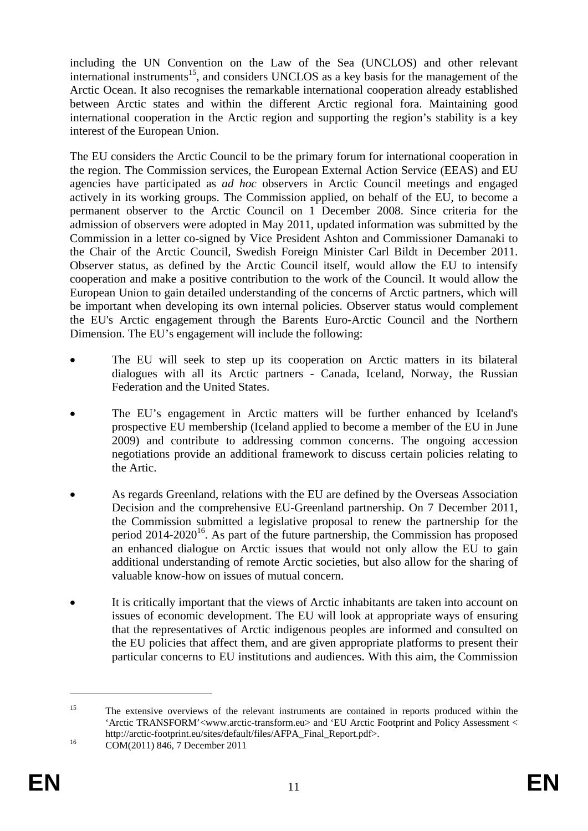including the UN Convention on the Law of the Sea (UNCLOS) and other relevant international instruments<sup>15</sup>, and considers UNCLOS as a key basis for the management of the Arctic Ocean. It also recognises the remarkable international cooperation already established between Arctic states and within the different Arctic regional fora. Maintaining good international cooperation in the Arctic region and supporting the region's stability is a key interest of the European Union.

The EU considers the Arctic Council to be the primary forum for international cooperation in the region. The Commission services, the European External Action Service (EEAS) and EU agencies have participated as *ad hoc* observers in Arctic Council meetings and engaged actively in its working groups. The Commission applied, on behalf of the EU, to become a permanent observer to the Arctic Council on 1 December 2008. Since criteria for the admission of observers were adopted in May 2011, updated information was submitted by the Commission in a letter co-signed by Vice President Ashton and Commissioner Damanaki to the Chair of the Arctic Council, Swedish Foreign Minister Carl Bildt in December 2011. Observer status, as defined by the Arctic Council itself, would allow the EU to intensify cooperation and make a positive contribution to the work of the Council. It would allow the European Union to gain detailed understanding of the concerns of Arctic partners, which will be important when developing its own internal policies. Observer status would complement the EU's Arctic engagement through the Barents Euro-Arctic Council and the Northern Dimension. The EU's engagement will include the following:

- The EU will seek to step up its cooperation on Arctic matters in its bilateral dialogues with all its Arctic partners - Canada, Iceland, Norway, the Russian Federation and the United States.
- The EU's engagement in Arctic matters will be further enhanced by Iceland's prospective EU membership (Iceland applied to become a member of the EU in June 2009) and contribute to addressing common concerns. The ongoing accession negotiations provide an additional framework to discuss certain policies relating to the Artic.
- As regards Greenland, relations with the EU are defined by the Overseas Association Decision and the comprehensive EU-Greenland partnership. On 7 December 2011, the Commission submitted a legislative proposal to renew the partnership for the period  $2014$ - $2020^{16}$ . As part of the future partnership, the Commission has proposed an enhanced dialogue on Arctic issues that would not only allow the EU to gain additional understanding of remote Arctic societies, but also allow for the sharing of valuable know-how on issues of mutual concern.
- It is critically important that the views of Arctic inhabitants are taken into account on issues of economic development. The EU will look at appropriate ways of ensuring that the representatives of Arctic indigenous peoples are informed and consulted on the EU policies that affect them, and are given appropriate platforms to present their particular concerns to EU institutions and audiences. With this aim, the Commission

<sup>&</sup>lt;sup>15</sup> The extensive overviews of the relevant instruments are contained in reports produced within the 'Arctic TRANSFORM'<www.arctic-transform.eu> and 'EU Arctic Footprint and Policy Assessment < http://arctic-footprint.eu/sites/default/files/AFPA\_Final\_Report.pdf>.<br>
COM(2011) 846, 7 December 2011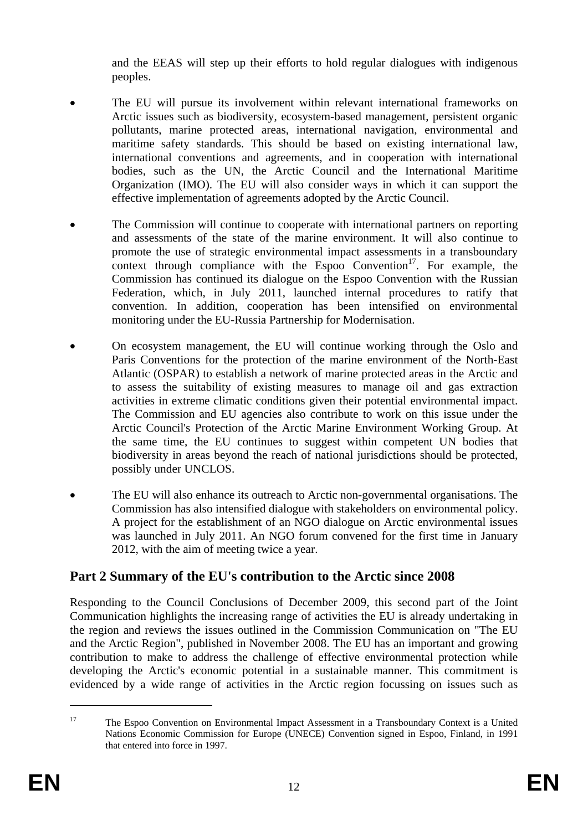and the EEAS will step up their efforts to hold regular dialogues with indigenous peoples.

- The EU will pursue its involvement within relevant international frameworks on Arctic issues such as biodiversity, ecosystem-based management, persistent organic pollutants, marine protected areas, international navigation, environmental and maritime safety standards. This should be based on existing international law, international conventions and agreements, and in cooperation with international bodies, such as the UN, the Arctic Council and the International Maritime Organization (IMO). The EU will also consider ways in which it can support the effective implementation of agreements adopted by the Arctic Council.
- The Commission will continue to cooperate with international partners on reporting and assessments of the state of the marine environment. It will also continue to promote the use of strategic environmental impact assessments in a transboundary context through compliance with the  $Espoo$  Convention<sup>17</sup>. For example, the Commission has continued its dialogue on the Espoo Convention with the Russian Federation, which, in July 2011, launched internal procedures to ratify that convention. In addition, cooperation has been intensified on environmental monitoring under the EU-Russia Partnership for Modernisation.
- On ecosystem management, the EU will continue working through the Oslo and Paris Conventions for the protection of the marine environment of the North-East Atlantic (OSPAR) to establish a network of marine protected areas in the Arctic and to assess the suitability of existing measures to manage oil and gas extraction activities in extreme climatic conditions given their potential environmental impact. The Commission and EU agencies also contribute to work on this issue under the Arctic Council's Protection of the Arctic Marine Environment Working Group. At the same time, the EU continues to suggest within competent UN bodies that biodiversity in areas beyond the reach of national jurisdictions should be protected, possibly under UNCLOS.
- The EU will also enhance its outreach to Arctic non-governmental organisations. The Commission has also intensified dialogue with stakeholders on environmental policy. A project for the establishment of an NGO dialogue on Arctic environmental issues was launched in July 2011. An NGO forum convened for the first time in January 2012, with the aim of meeting twice a year.

# **Part 2 Summary of the EU's contribution to the Arctic since 2008**

Responding to the Council Conclusions of December 2009, this second part of the Joint Communication highlights the increasing range of activities the EU is already undertaking in the region and reviews the issues outlined in the Commission Communication on "The EU and the Arctic Region", published in November 2008. The EU has an important and growing contribution to make to address the challenge of effective environmental protection while developing the Arctic's economic potential in a sustainable manner. This commitment is evidenced by a wide range of activities in the Arctic region focussing on issues such as

<sup>&</sup>lt;sup>17</sup> The Espoo Convention on Environmental Impact Assessment in a Transboundary Context is a United Nations Economic Commission for Europe (UNECE) Convention signed in Espoo, Finland, in 1991 that entered into force in 1997.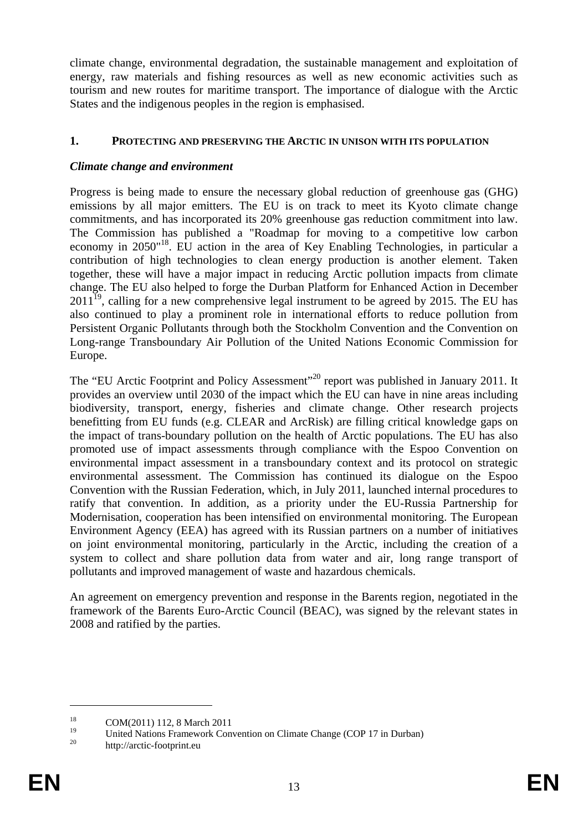climate change, environmental degradation, the sustainable management and exploitation of energy, raw materials and fishing resources as well as new economic activities such as tourism and new routes for maritime transport. The importance of dialogue with the Arctic States and the indigenous peoples in the region is emphasised.

### **1. PROTECTING AND PRESERVING THE ARCTIC IN UNISON WITH ITS POPULATION**

#### *Climate change and environment*

Progress is being made to ensure the necessary global reduction of greenhouse gas (GHG) emissions by all major emitters. The EU is on track to meet its Kyoto climate change commitments, and has incorporated its 20% greenhouse gas reduction commitment into law. The Commission has published a "Roadmap for moving to a competitive low carbon economy in 2050"18. EU action in the area of Key Enabling Technologies, in particular a contribution of high technologies to clean energy production is another element. Taken together, these will have a major impact in reducing Arctic pollution impacts from climate change. The EU also helped to forge the Durban Platform for Enhanced Action in December  $2011^{19}$ , calling for a new comprehensive legal instrument to be agreed by 2015. The EU has also continued to play a prominent role in international efforts to reduce pollution from Persistent Organic Pollutants through both the Stockholm Convention and the Convention on Long-range Transboundary Air Pollution of the United Nations Economic Commission for Europe.

The "EU Arctic Footprint and Policy Assessment"<sup>20</sup> report was published in January 2011. It provides an overview until 2030 of the impact which the EU can have in nine areas including biodiversity, transport, energy, fisheries and climate change. Other research projects benefitting from EU funds (e.g. CLEAR and ArcRisk) are filling critical knowledge gaps on the impact of trans-boundary pollution on the health of Arctic populations. The EU has also promoted use of impact assessments through compliance with the Espoo Convention on environmental impact assessment in a transboundary context and its protocol on strategic environmental assessment. The Commission has continued its dialogue on the Espoo Convention with the Russian Federation, which, in July 2011, launched internal procedures to ratify that convention. In addition, as a priority under the EU-Russia Partnership for Modernisation, cooperation has been intensified on environmental monitoring. The European Environment Agency (EEA) has agreed with its Russian partners on a number of initiatives on joint environmental monitoring, particularly in the Arctic, including the creation of a system to collect and share pollution data from water and air, long range transport of pollutants and improved management of waste and hazardous chemicals.

An agreement on emergency prevention and response in the Barents region, negotiated in the framework of the Barents Euro-Arctic Council (BEAC), was signed by the relevant states in 2008 and ratified by the parties.

<sup>&</sup>lt;sup>18</sup> COM(2011) 112, 8 March 2011

<sup>&</sup>lt;sup>19</sup> United Nations Framework Convention on Climate Change (COP 17 in Durban)

http://arctic-footprint.eu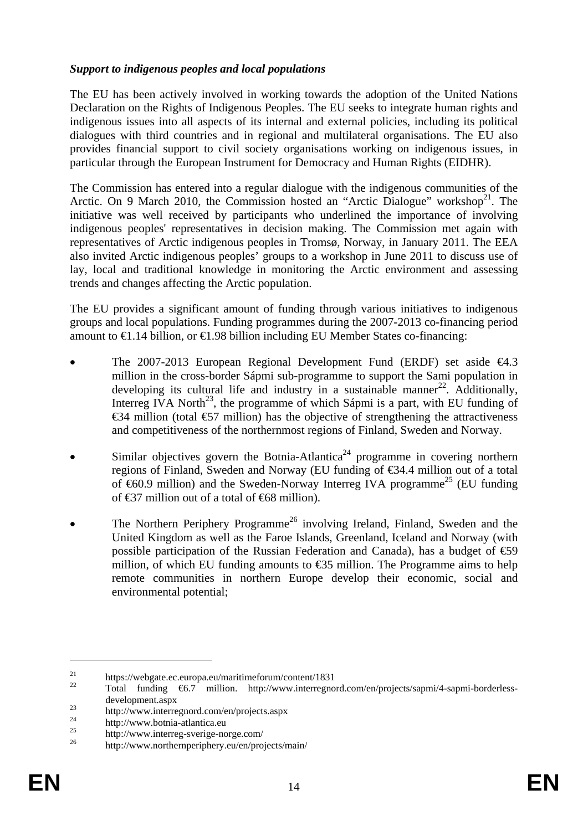## *Support to indigenous peoples and local populations*

The EU has been actively involved in working towards the adoption of the United Nations Declaration on the Rights of Indigenous Peoples. The EU seeks to integrate human rights and indigenous issues into all aspects of its internal and external policies, including its political dialogues with third countries and in regional and multilateral organisations. The EU also provides financial support to civil society organisations working on indigenous issues, in particular through the European Instrument for Democracy and Human Rights (EIDHR).

The Commission has entered into a regular dialogue with the indigenous communities of the Arctic. On 9 March 2010, the Commission hosted an "Arctic Dialogue" workshop<sup>21</sup>. The initiative was well received by participants who underlined the importance of involving indigenous peoples' representatives in decision making. The Commission met again with representatives of Arctic indigenous peoples in Tromsø, Norway, in January 2011. The EEA also invited Arctic indigenous peoples' groups to a workshop in June 2011 to discuss use of lay, local and traditional knowledge in monitoring the Arctic environment and assessing trends and changes affecting the Arctic population.

The EU provides a significant amount of funding through various initiatives to indigenous groups and local populations. Funding programmes during the 2007-2013 co-financing period amount to  $\in$  1.14 billion, or  $\in$  1.98 billion including EU Member States co-financing:

- The 2007-2013 European Regional Development Fund (ERDF) set aside €4.3 million in the cross-border Sápmi sub-programme to support the Sami population in developing its cultural life and industry in a sustainable manner<sup>22</sup>. Additionally, Interreg IVA North<sup>23</sup>, the programme of which Sápmi is a part, with EU funding of  $\epsilon$ 34 million (total  $\epsilon$ 57 million) has the objective of strengthening the attractiveness and competitiveness of the northernmost regions of Finland, Sweden and Norway.
- Similar objectives govern the Botnia-Atlantica<sup>24</sup> programme in covering northern regions of Finland, Sweden and Norway (EU funding of €34.4 million out of a total of  $60.9$  million) and the Sweden-Norway Interreg IVA programme<sup>25</sup> (EU funding of €37 million out of a total of €68 million).
- The Northern Periphery Programme<sup>26</sup> involving Ireland, Finland, Sweden and the United Kingdom as well as the Faroe Islands, Greenland, Iceland and Norway (with possible participation of the Russian Federation and Canada), has a budget of  $\epsilon$ 59 million, of which EU funding amounts to  $\epsilon$ 35 million. The Programme aims to help remote communities in northern Europe develop their economic, social and environmental potential;

<sup>21</sup> https://webgate.ec.europa.eu/maritimeforum/content/1831 22 Total funding €6.7 million. http://www.interregnord.com/en/projects/sapmi/4-sapmi-borderless-

development.aspx<br>
http://www.interregnord.com/en/projects.aspx<br>
24

 $\frac{24}{25}$  http://www.botnia-atlantica.eu

 $\frac{25}{26}$  http://www.interreg-sverige-norge.com/

<sup>26</sup> http://www.northernperiphery.eu/en/projects/main/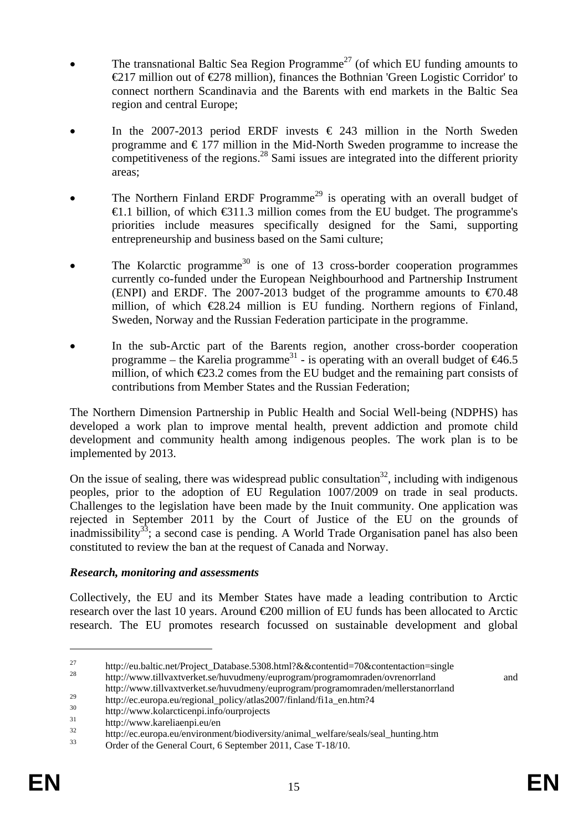- The transnational Baltic Sea Region Programme<sup>27</sup> (of which EU funding amounts to  $\epsilon$ 217 million out of  $\epsilon$ 278 million), finances the Bothnian 'Green Logistic Corridor' to connect northern Scandinavia and the Barents with end markets in the Baltic Sea region and central Europe;
- In the 2007-2013 period ERDF invests  $\epsilon$  243 million in the North Sweden programme and € 177 million in the Mid-North Sweden programme to increase the competitiveness of the regions.<sup>28</sup> Sami issues are integrated into the different priority areas;
- The Northern Finland ERDF Programme<sup>29</sup> is operating with an overall budget of  $\epsilon$ 1.1 billion, of which  $\epsilon$ 3.11.3 million comes from the EU budget. The programme's priorities include measures specifically designed for the Sami, supporting entrepreneurship and business based on the Sami culture;
- The Kolarctic programme<sup>30</sup> is one of 13 cross-border cooperation programmes currently co-funded under the European Neighbourhood and Partnership Instrument (ENPI) and ERDF. The 2007-2013 budget of the programme amounts to  $\epsilon$  0.48 million, of which €28.24 million is EU funding. Northern regions of Finland, Sweden, Norway and the Russian Federation participate in the programme.
- In the sub-Arctic part of the Barents region, another cross-border cooperation programme – the Karelia programme<sup>31</sup> - is operating with an overall budget of  $\epsilon 46.5$ million, of which  $\epsilon$ 23.2 comes from the EU budget and the remaining part consists of contributions from Member States and the Russian Federation;

The Northern Dimension Partnership in Public Health and Social Well-being (NDPHS) has developed a work plan to improve mental health, prevent addiction and promote child development and community health among indigenous peoples. The work plan is to be implemented by 2013.

On the issue of sealing, there was widespread public consultation<sup>32</sup>, including with indigenous peoples, prior to the adoption of EU Regulation 1007/2009 on trade in seal products. Challenges to the legislation have been made by the Inuit community. One application was rejected in September 2011 by the Court of Justice of the EU on the grounds of inadmissibility<sup>33</sup>; a second case is pending. A World Trade Organisation panel has also been constituted to review the ban at the request of Canada and Norway.

## *Research, monitoring and assessments*

Collectively, the EU and its Member States have made a leading contribution to Arctic research over the last 10 years. Around  $\epsilon$  200 million of EU funds has been allocated to Arctic research. The EU promotes research focussed on sustainable development and global

<u>.</u>

<sup>&</sup>lt;sup>27</sup> http://eu.baltic.net/Project\_Database.5308.html?&&contentid=70&contentaction=single

<sup>28</sup> [http://www.tillvaxtverket.se/huvudmeny](http://www.tillvaxtverket.se/huvudmeny/euprogram/programomraden/ovrenorrland)/euprogram/programomraden/ovrenorrland and <http://www.tillvaxtverket.se/huvudmeny/euprogram/programomraden/mellerstanorrland>

<sup>&</sup>lt;sup>29</sup> http://ec.europa.eu/regional\_policy/atlas2007/finland/fi1a\_en.htm?4<br> $\frac{30}{4}$ 

 $\frac{30}{31}$  http://www.kolarcticenpi.info/ourprojects

 $\frac{31}{32}$  http://www.kareliaenpi.eu/en

 $\frac{32}{33}$  http://ec.europa.eu/environment/biodiversity/animal\_welfare/seals/seal\_hunting.htm

Order of the General Court, 6 September 2011, Case T-18/10.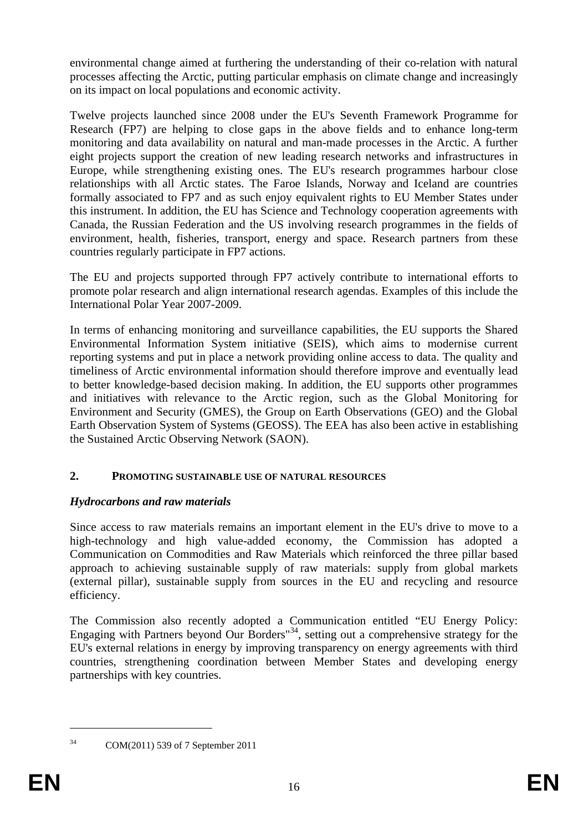environmental change aimed at furthering the understanding of their co-relation with natural processes affecting the Arctic, putting particular emphasis on climate change and increasingly on its impact on local populations and economic activity.

Twelve projects launched since 2008 under the EU's Seventh Framework Programme for Research (FP7) are helping to close gaps in the above fields and to enhance long-term monitoring and data availability on natural and man-made processes in the Arctic. A further eight projects support the creation of new leading research networks and infrastructures in Europe, while strengthening existing ones. The EU's research programmes harbour close relationships with all Arctic states. The Faroe Islands, Norway and Iceland are countries formally associated to FP7 and as such enjoy equivalent rights to EU Member States under this instrument. In addition, the EU has Science and Technology cooperation agreements with Canada, the Russian Federation and the US involving research programmes in the fields of environment, health, fisheries, transport, energy and space. Research partners from these countries regularly participate in FP7 actions.

The EU and projects supported through FP7 actively contribute to international efforts to promote polar research and align international research agendas. Examples of this include the International Polar Year 2007-2009.

In terms of enhancing monitoring and surveillance capabilities, the EU supports the Shared Environmental Information System initiative (SEIS), which aims to modernise current reporting systems and put in place a network providing online access to data. The quality and timeliness of Arctic environmental information should therefore improve and eventually lead to better knowledge-based decision making. In addition, the EU supports other programmes and initiatives with relevance to the Arctic region, such as the Global Monitoring for Environment and Security (GMES), the Group on Earth Observations (GEO) and the Global Earth Observation System of Systems (GEOSS). The EEA has also been active in establishing the Sustained Arctic Observing Network (SAON).

## **2. PROMOTING SUSTAINABLE USE OF NATURAL RESOURCES**

## *Hydrocarbons and raw materials*

Since access to raw materials remains an important element in the EU's drive to move to a high-technology and high value-added economy, the Commission has adopted a Communication on Commodities and Raw Materials which reinforced the three pillar based approach to achieving sustainable supply of raw materials: supply from global markets (external pillar), sustainable supply from sources in the EU and recycling and resource efficiency.

The Commission also recently adopted a Communication entitled "EU Energy Policy: Engaging with Partners beyond Our Borders<sup> $34$ </sup>, setting out a comprehensive strategy for the EU's external relations in energy by improving transparency on energy agreements with third countries, strengthening coordination between Member States and developing energy partnerships with key countries.

<sup>34</sup> COM(2011) 539 of 7 September 2011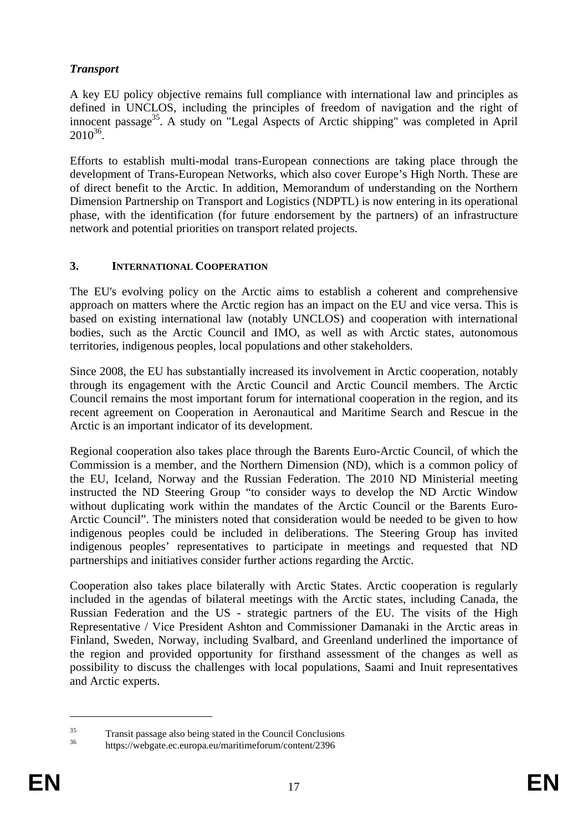# *Transport*

A key EU policy objective remains full compliance with international law and principles as defined in UNCLOS, including the principles of freedom of navigation and the right of innocent passage<sup>35</sup>. A study on "Legal Aspects of Arctic shipping" was completed in April  $2010^{36}$ .

Efforts to establish multi-modal trans-European connections are taking place through the development of Trans-European Networks, which also cover Europe's High North. These are of direct benefit to the Arctic. In addition, Memorandum of understanding on the Northern Dimension Partnership on Transport and Logistics (NDPTL) is now entering in its operational phase, with the identification (for future endorsement by the partners) of an infrastructure network and potential priorities on transport related projects.

## **3. INTERNATIONAL COOPERATION**

The EU's evolving policy on the Arctic aims to establish a coherent and comprehensive approach on matters where the Arctic region has an impact on the EU and vice versa. This is based on existing international law (notably UNCLOS) and cooperation with international bodies, such as the Arctic Council and IMO, as well as with Arctic states, autonomous territories, indigenous peoples, local populations and other stakeholders.

Since 2008, the EU has substantially increased its involvement in Arctic cooperation, notably through its engagement with the Arctic Council and Arctic Council members. The Arctic Council remains the most important forum for international cooperation in the region, and its recent agreement on Cooperation in Aeronautical and Maritime Search and Rescue in the Arctic is an important indicator of its development.

Regional cooperation also takes place through the Barents Euro-Arctic Council, of which the Commission is a member, and the Northern Dimension (ND), which is a common policy of the EU, Iceland, Norway and the Russian Federation. The 2010 ND Ministerial meeting instructed the ND Steering Group "to consider ways to develop the ND Arctic Window without duplicating work within the mandates of the Arctic Council or the Barents Euro-Arctic Council". The ministers noted that consideration would be needed to be given to how indigenous peoples could be included in deliberations. The Steering Group has invited indigenous peoples' representatives to participate in meetings and requested that ND partnerships and initiatives consider further actions regarding the Arctic.

Cooperation also takes place bilaterally with Arctic States. Arctic cooperation is regularly included in the agendas of bilateral meetings with the Arctic states, including Canada, the Russian Federation and the US - strategic partners of the EU. The visits of the High Representative / Vice President Ashton and Commissioner Damanaki in the Arctic areas in Finland, Sweden, Norway, including Svalbard, and Greenland underlined the importance of the region and provided opportunity for firsthand assessment of the changes as well as possibility to discuss the challenges with local populations, Saami and Inuit representatives and Arctic experts.

<u>.</u>

 $\frac{35}{36}$  Transit passage also being stated in the Council Conclusions

<sup>36</sup> https://webgate.ec.europa.eu/maritimeforum/content/2396